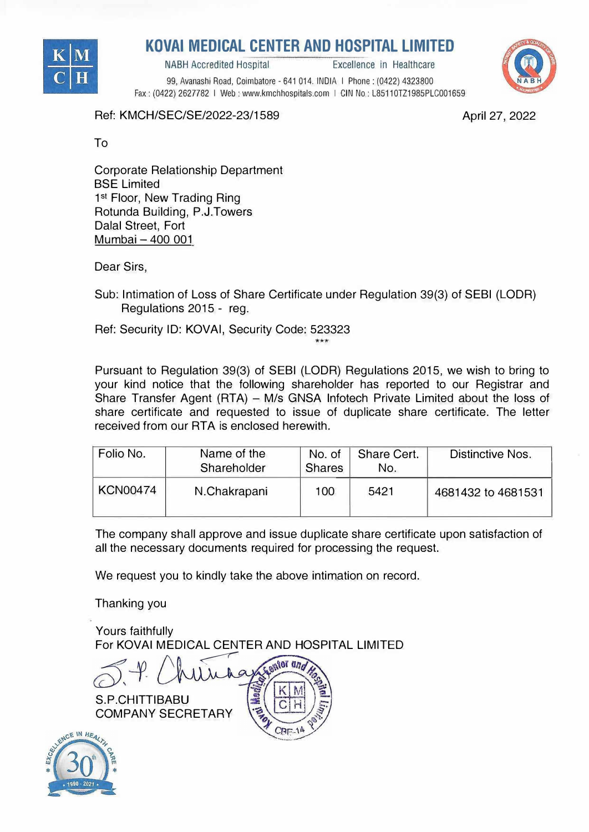

## **KOVAi MEDICAL CENTER AND HOSPITAL LIMITED**

NABH Accredited Hospital Excellence in Healthcare

99, Avanashi Road, Coimbatore - 641 014. INDIA I Phone: (0422) 4323800 Fax: (0422) 2627782 I Web: www.kmchhospitals.com I GIN No: L85110TZ1985PLC001659



Ref: KMCH/SEC/SE/2022-23/1589

April 27, 2022

To

Corporate Relationship Department BSE Limited 1<sup>st</sup> Floor, New Trading Ring Rotunda Building, P.J.Towers Dalal Street, Fort Mumbai - 400 001

Dear Sirs,

Sub: Intimation of Loss of Share Certificate under Regulation 39(3) of SEBI (LODR) Regulations 2015 - reg.

Ref: Security ID: KOVAi, Security Code: 523323 \*\*\*

Pursuant to Regulation 39(3) of SEBI (LODR) Regulations 2015, we wish to bring to your kind notice that the following shareholder has reported to our Registrar and Share Transfer Agent (RTA) - M/s GNSA Infotech Private Limited about the loss of share certificate and requested to issue of duplicate share certificate. The letter received from our RTA is enclosed herewith.

| Folio No.       | Name of the<br>Shareholder | No. of<br><b>Shares</b> | Share Cert.<br>No. | Distinctive Nos.   |
|-----------------|----------------------------|-------------------------|--------------------|--------------------|
| <b>KCN00474</b> | N.Chakrapani               | 100                     | 5421               | 4681432 to 4681531 |

The company shall approve and issue duplicate share certificate upon satisfaction of all the necessary documents required for processing the request.

We request you to kindly take the above intimation on record.

Thanking you

Yours faithfully For KOVAI MEDICAL CENTER AND HOSPITAL LIMITED<br> *N* Alternative Reserved and Alternative Reserved and Alternative Reserved and Alternative Reserved Alternative Reserved Alternative Reserved Alternative Reserved Alternative

 $CRT - 1<sup>A</sup>$ 

S.P.CHITTIBABU COMPANY SECRETARY